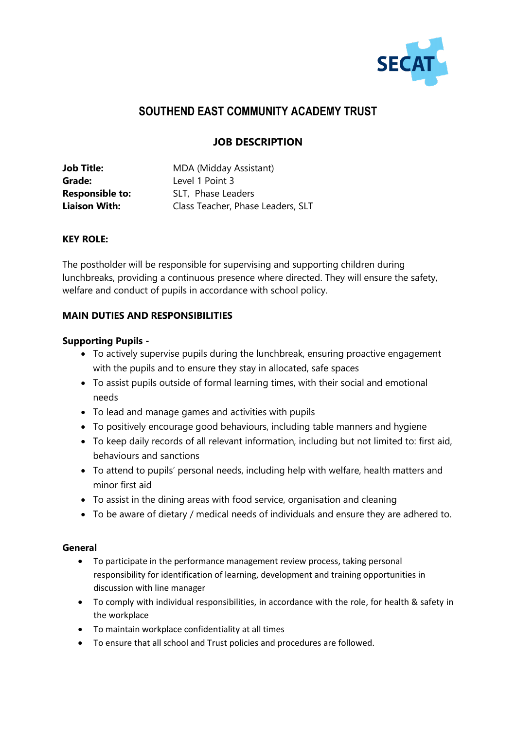

# **SOUTHEND EAST COMMUNITY ACADEMY TRUST**

## **JOB DESCRIPTION**

| <b>Job Title:</b>      | MDA (Midday Assistant)            |  |
|------------------------|-----------------------------------|--|
| Grade:                 | Level 1 Point 3                   |  |
| <b>Responsible to:</b> | SLT, Phase Leaders                |  |
| <b>Liaison With:</b>   | Class Teacher, Phase Leaders, SLT |  |

#### **KEY ROLE:**

The postholder will be responsible for supervising and supporting children during lunchbreaks, providing a continuous presence where directed. They will ensure the safety, welfare and conduct of pupils in accordance with school policy.

### **MAIN DUTIES AND RESPONSIBILITIES**

#### **Supporting Pupils -**

- To actively supervise pupils during the lunchbreak, ensuring proactive engagement with the pupils and to ensure they stay in allocated, safe spaces
- To assist pupils outside of formal learning times, with their social and emotional needs
- To lead and manage games and activities with pupils
- To positively encourage good behaviours, including table manners and hygiene
- To keep daily records of all relevant information, including but not limited to: first aid, behaviours and sanctions
- To attend to pupils' personal needs, including help with welfare, health matters and minor first aid
- To assist in the dining areas with food service, organisation and cleaning
- To be aware of dietary / medical needs of individuals and ensure they are adhered to.

#### **General**

- To participate in the performance management review process, taking personal responsibility for identification of learning, development and training opportunities in discussion with line manager
- To comply with individual responsibilities, in accordance with the role, for health & safety in the workplace
- To maintain workplace confidentiality at all times
- To ensure that all school and Trust policies and procedures are followed.